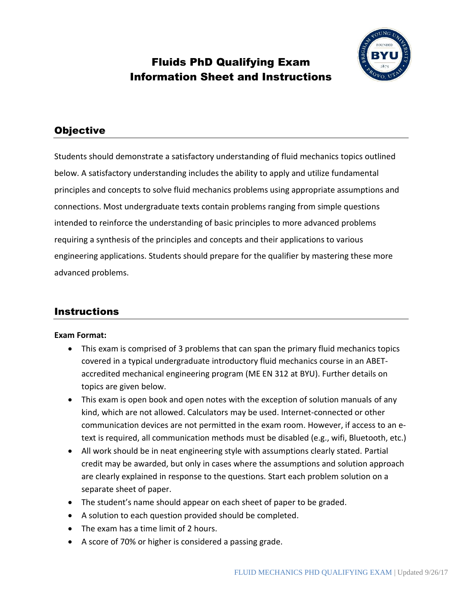

# Fluids PhD Qualifying Exam Information Sheet and Instructions

# **Objective**

Students should demonstrate a satisfactory understanding of fluid mechanics topics outlined below. A satisfactory understanding includes the ability to apply and utilize fundamental principles and concepts to solve fluid mechanics problems using appropriate assumptions and connections. Most undergraduate texts contain problems ranging from simple questions intended to reinforce the understanding of basic principles to more advanced problems requiring a synthesis of the principles and concepts and their applications to various engineering applications. Students should prepare for the qualifier by mastering these more advanced problems.

## Instructions

#### **Exam Format:**

- This exam is comprised of 3 problems that can span the primary fluid mechanics topics covered in a typical undergraduate introductory fluid mechanics course in an ABETaccredited mechanical engineering program (ME EN 312 at BYU). Further details on topics are given below.
- This exam is open book and open notes with the exception of solution manuals of any kind, which are not allowed. Calculators may be used. Internet-connected or other communication devices are not permitted in the exam room. However, if access to an etext is required, all communication methods must be disabled (e.g., wifi, Bluetooth, etc.)
- All work should be in neat engineering style with assumptions clearly stated. Partial credit may be awarded, but only in cases where the assumptions and solution approach are clearly explained in response to the questions. Start each problem solution on a separate sheet of paper.
- The student's name should appear on each sheet of paper to be graded.
- A solution to each question provided should be completed.
- The exam has a time limit of 2 hours.
- A score of 70% or higher is considered a passing grade.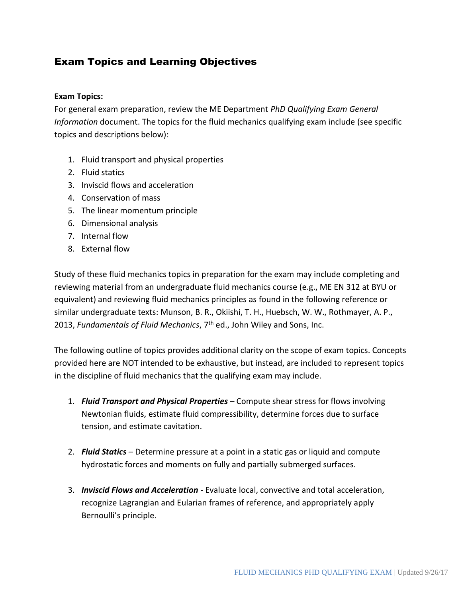# Exam Topics and Learning Objectives

#### **Exam Topics:**

For general exam preparation, review the ME Department *PhD Qualifying Exam General Information* document. The topics for the fluid mechanics qualifying exam include (see specific topics and descriptions below):

- 1. Fluid transport and physical properties
- 2. Fluid statics
- 3. Inviscid flows and acceleration
- 4. Conservation of mass
- 5. The linear momentum principle
- 6. Dimensional analysis
- 7. Internal flow
- 8. External flow

Study of these fluid mechanics topics in preparation for the exam may include completing and reviewing material from an undergraduate fluid mechanics course (e.g., ME EN 312 at BYU or equivalent) and reviewing fluid mechanics principles as found in the following reference or similar undergraduate texts: Munson, B. R., Okiishi, T. H., Huebsch, W. W., Rothmayer, A. P., 2013, *Fundamentals of Fluid Mechanics*, 7th ed., John Wiley and Sons, Inc.

The following outline of topics provides additional clarity on the scope of exam topics. Concepts provided here are NOT intended to be exhaustive, but instead, are included to represent topics in the discipline of fluid mechanics that the qualifying exam may include.

- 1. *Fluid Transport and Physical Properties* Compute shear stress for flows involving Newtonian fluids, estimate fluid compressibility, determine forces due to surface tension, and estimate cavitation.
- 2. *Fluid Statics* Determine pressure at a point in a static gas or liquid and compute hydrostatic forces and moments on fully and partially submerged surfaces.
- 3. *Inviscid Flows and Acceleration* Evaluate local, convective and total acceleration, recognize Lagrangian and Eularian frames of reference, and appropriately apply Bernoulli's principle.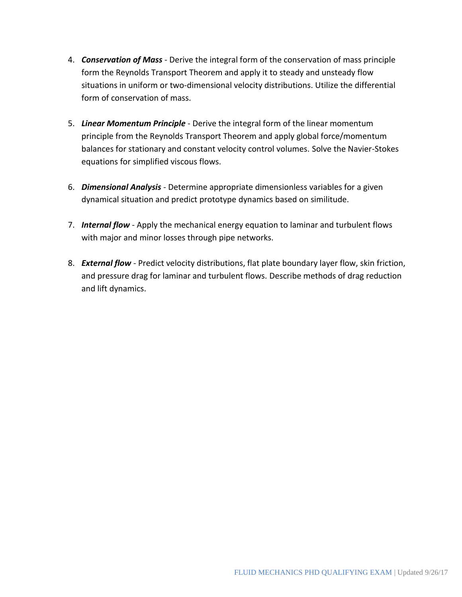- 4. *Conservation of Mass* Derive the integral form of the conservation of mass principle form the Reynolds Transport Theorem and apply it to steady and unsteady flow situations in uniform or two-dimensional velocity distributions. Utilize the differential form of conservation of mass.
- 5. *Linear Momentum Principle* Derive the integral form of the linear momentum principle from the Reynolds Transport Theorem and apply global force/momentum balances for stationary and constant velocity control volumes. Solve the Navier-Stokes equations for simplified viscous flows.
- 6. *Dimensional Analysis* Determine appropriate dimensionless variables for a given dynamical situation and predict prototype dynamics based on similitude.
- 7. *Internal flow* Apply the mechanical energy equation to laminar and turbulent flows with major and minor losses through pipe networks.
- 8. *External flow* Predict velocity distributions, flat plate boundary layer flow, skin friction, and pressure drag for laminar and turbulent flows. Describe methods of drag reduction and lift dynamics.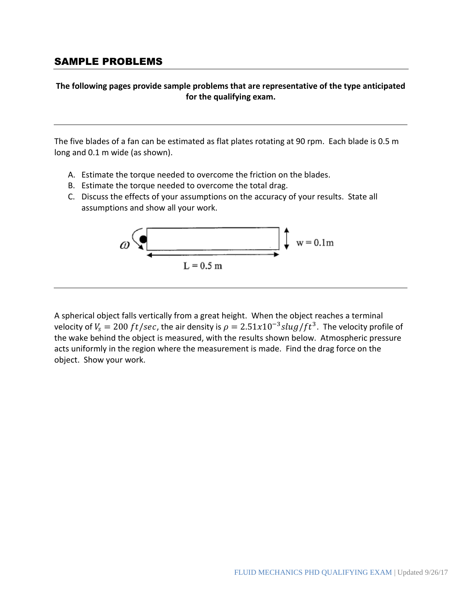### SAMPLE PROBLEMS

#### **The following pages provide sample problems that are representative of the type anticipated for the qualifying exam.**

The five blades of a fan can be estimated as flat plates rotating at 90 rpm. Each blade is 0.5 m long and 0.1 m wide (as shown).

- A. Estimate the torque needed to overcome the friction on the blades.
- B. Estimate the torque needed to overcome the total drag.
- C. Discuss the effects of your assumptions on the accuracy of your results. State all assumptions and show all your work.



A spherical object falls vertically from a great height. When the object reaches a terminal velocity of  $V_{\rm s}=200\, ft/sec$ , the air density is  $\rho=2.51x10^{-3}slug/ft^3$ . The velocity profile of the wake behind the object is measured, with the results shown below. Atmospheric pressure acts uniformly in the region where the measurement is made. Find the drag force on the object. Show your work.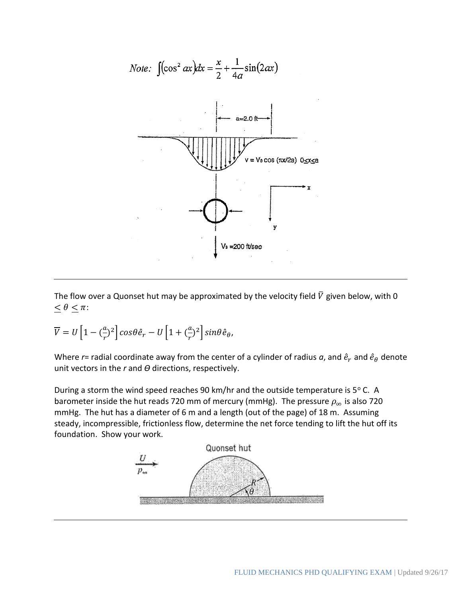

The flow over a Quonset hut may be approximated by the velocity field  $\bar{V}$  given below, with 0  $\leq \theta \leq \pi$ :

$$
\overline{V} = U \left[ 1 - \left( \frac{a}{r} \right)^2 \right] \cos \theta \hat{e}_r - U \left[ 1 + \left( \frac{a}{r} \right)^2 \right] \sin \theta \hat{e}_\theta,
$$

Where  $r$ = radial coordinate away from the center of a cylinder of radius  $a$ , and  $\hat{e}_r$  and  $\hat{e}_\theta$  denote unit vectors in the *r* and *ϴ* directions, respectively.

During a storm the wind speed reaches 90 km/hr and the outside temperature is  $5^{\circ}$  C. A barometer inside the hut reads 720 mm of mercury (mmHg). The pressure  $\rho_{\infty}$  is also 720 mmHg. The hut has a diameter of 6 m and a length (out of the page) of 18 m. Assuming steady, incompressible, frictionless flow, determine the net force tending to lift the hut off its foundation. Show your work.

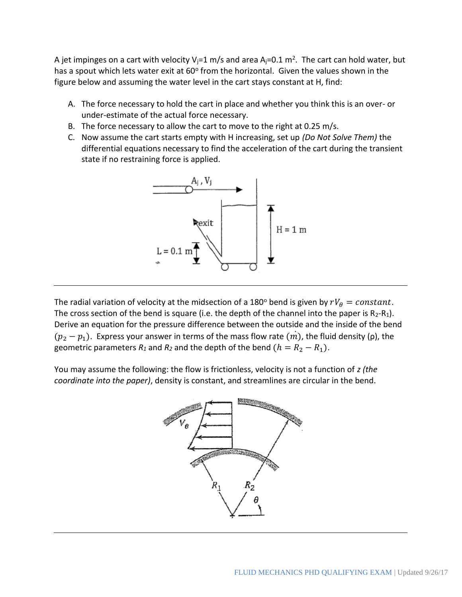A jet impinges on a cart with velocity V<sub>j</sub>=1 m/s and area A<sub>j</sub>=0.1 m<sup>2</sup>. The cart can hold water, but has a spout which lets water exit at 60° from the horizontal. Given the values shown in the figure below and assuming the water level in the cart stays constant at H, find:

- A. The force necessary to hold the cart in place and whether you think this is an over- or under-estimate of the actual force necessary.
- B. The force necessary to allow the cart to move to the right at 0.25 m/s.
- C. Now assume the cart starts empty with H increasing, set up *(Do Not Solve Them)* the differential equations necessary to find the acceleration of the cart during the transient state if no restraining force is applied.



The radial variation of velocity at the midsection of a 180° bend is given by  $rV_{\theta} = constant$ . The cross section of the bend is square (i.e. the depth of the channel into the paper is  $R_2-R_1$ ). Derive an equation for the pressure difference between the outside and the inside of the bend  $(p_2 - p_1)$ . Express your answer in terms of the mass flow rate  $(m)$ , the fluid density (ρ), the ֧֦֧֦֧֦֧֦֧֦֧֚֘֝ geometric parameters  $R_1$  and  $R_2$  and the depth of the bend  $(h = R_2 - R_1)$ .

You may assume the following: the flow is frictionless, velocity is not a function of *z (the coordinate into the paper)*, density is constant, and streamlines are circular in the bend.

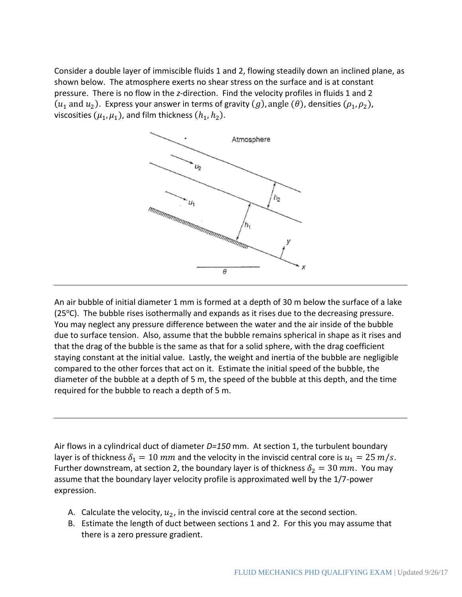Consider a double layer of immiscible fluids 1 and 2, flowing steadily down an inclined plane, as shown below. The atmosphere exerts no shear stress on the surface and is at constant pressure. There is no flow in the *z*-direction. Find the velocity profiles in fluids 1 and 2  $(u_1$  and  $u_2$ ). Express your answer in terms of gravity  $(g)$ , angle  $(\theta)$ , densities  $(\rho_1, \rho_2)$ , viscosities  $(\mu_1,\mu_1)$ , and film thickness  $(h_1,h_2).$ 



An air bubble of initial diameter 1 mm is formed at a depth of 30 m below the surface of a lake  $(25\degree C)$ . The bubble rises isothermally and expands as it rises due to the decreasing pressure. You may neglect any pressure difference between the water and the air inside of the bubble due to surface tension. Also, assume that the bubble remains spherical in shape as it rises and that the drag of the bubble is the same as that for a solid sphere, with the drag coefficient staying constant at the initial value. Lastly, the weight and inertia of the bubble are negligible compared to the other forces that act on it. Estimate the initial speed of the bubble, the diameter of the bubble at a depth of 5 m, the speed of the bubble at this depth, and the time required for the bubble to reach a depth of 5 m.

Air flows in a cylindrical duct of diameter *D=150* mm. At section 1, the turbulent boundary layer is of thickness  $\delta_1 = 10$  mm and the velocity in the inviscid central core is  $u_1 = 25$  m/s. Further downstream, at section 2, the boundary layer is of thickness  $\delta_2 = 30$   $mm$ . You may assume that the boundary layer velocity profile is approximated well by the 1/7-power expression.

- A. Calculate the velocity,  $u_2$ , in the inviscid central core at the second section.
- B. Estimate the length of duct between sections 1 and 2. For this you may assume that there is a zero pressure gradient.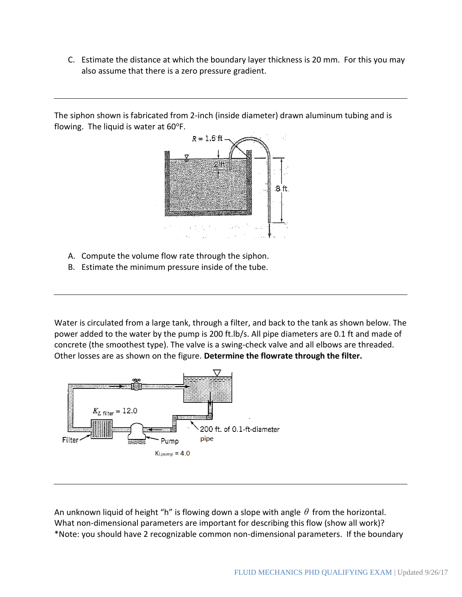C. Estimate the distance at which the boundary layer thickness is 20 mm. For this you may also assume that there is a zero pressure gradient.

The siphon shown is fabricated from 2-inch (inside diameter) drawn aluminum tubing and is flowing. The liquid is water at  $60^{\circ}$ F.



- A. Compute the volume flow rate through the siphon.
- B. Estimate the minimum pressure inside of the tube.

Water is circulated from a large tank, through a filter, and back to the tank as shown below. The power added to the water by the pump is 200 ft.lb/s. All pipe diameters are 0.1 ft and made of concrete (the smoothest type). The valve is a swing-check valve and all elbows are threaded. Other losses are as shown on the figure. **Determine the flowrate through the filter.**



An unknown liquid of height "h" is flowing down a slope with angle  $\theta$  from the horizontal. What non-dimensional parameters are important for describing this flow (show all work)? \*Note: you should have 2 recognizable common non-dimensional parameters. If the boundary